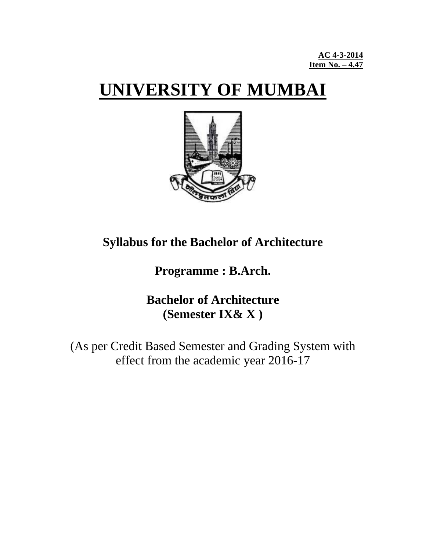# **UNIVERSITY OF MUMBAI**



## **Syllabus for the Bachelor of Architecture**

**Programme : B.Arch.**

## **Bachelor of Architecture (Semester IX& X )**

(As per Credit Based Semester and Grading System with effect from the academic year 2016-17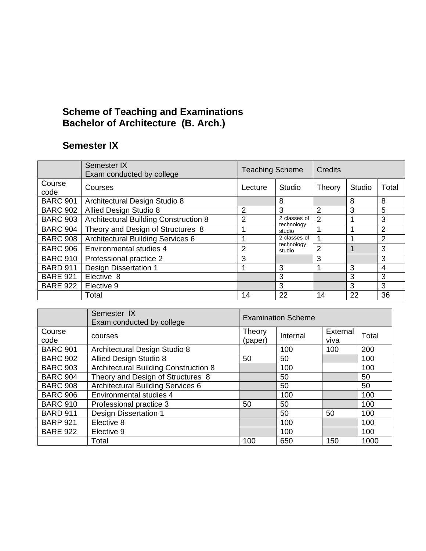## **Scheme of Teaching and Examinations Bachelor of Architecture (B. Arch.)**

## **Semester IX**

|                 | Semester IX<br>Exam conducted by college     | <b>Teaching Scheme</b> |                      | <b>Credits</b> |        |                |  |
|-----------------|----------------------------------------------|------------------------|----------------------|----------------|--------|----------------|--|
| Course<br>code  | Courses                                      | Lecture                | Studio               | Theory         | Studio | Total          |  |
| <b>BARC 901</b> | Architectural Design Studio 8                |                        | 8                    |                | 8      | 8              |  |
| <b>BARC 902</b> | Allied Design Studio 8                       | 2                      | 3                    | 2              | 3      | 5              |  |
| <b>BARC 903</b> | <b>Architectural Building Construction 8</b> | $\overline{2}$         | 2 classes of         | $\mathfrak{p}$ |        | 3              |  |
| <b>BARC 904</b> | Theory and Design of Structures 8            |                        | technology<br>studio |                | ٠      | $\overline{2}$ |  |
| <b>BARC 908</b> | <b>Architectural Building Services 6</b>     |                        | 2 classes of         |                |        | $\overline{2}$ |  |
| <b>BARC 906</b> | Environmental studies 4                      | 2                      | technology<br>studio | 2              | 1      | 3              |  |
| <b>BARC 910</b> | Professional practice 2                      | 3                      |                      | 3              |        | 3              |  |
| <b>BARD 911</b> | <b>Design Dissertation 1</b>                 |                        | 3                    |                | 3      | 4              |  |
| <b>BARE 921</b> | Elective 8                                   |                        | 3                    |                | 3      | 3              |  |
| <b>BARE 922</b> | Elective 9                                   |                        | 3                    |                | 3      | 3              |  |
|                 | Total                                        | 14                     | 22                   | 14             | 22     | 36             |  |

|                 | Semester IX<br>Exam conducted by college     | <b>Examination Scheme</b> |          |                  |       |  |  |
|-----------------|----------------------------------------------|---------------------------|----------|------------------|-------|--|--|
| Course<br>code  | courses                                      | Theory<br>(paper)         | Internal | External<br>viva | Total |  |  |
| <b>BARC 901</b> | Architectural Design Studio 8                |                           | 100      | 100              | 200   |  |  |
| <b>BARC 902</b> | Allied Design Studio 8                       | 50                        | 50       |                  | 100   |  |  |
| <b>BARC 903</b> | <b>Architectural Building Construction 8</b> |                           | 100      |                  | 100   |  |  |
| <b>BARC 904</b> | Theory and Design of Structures 8            |                           | 50       |                  | 50    |  |  |
| <b>BARC 908</b> | <b>Architectural Building Services 6</b>     |                           | 50       |                  | 50    |  |  |
| <b>BARC 906</b> | Environmental studies 4                      |                           | 100      |                  | 100   |  |  |
| <b>BARC 910</b> | Professional practice 3                      | 50                        | 50       |                  | 100   |  |  |
| <b>BARD 911</b> | <b>Design Dissertation 1</b>                 |                           | 50       | 50               | 100   |  |  |
| <b>BARP 921</b> | Elective 8                                   |                           | 100      |                  | 100   |  |  |
| <b>BARE 922</b> | Elective 9                                   |                           | 100      |                  | 100   |  |  |
|                 | Total                                        | 100                       | 650      | 150              | 1000  |  |  |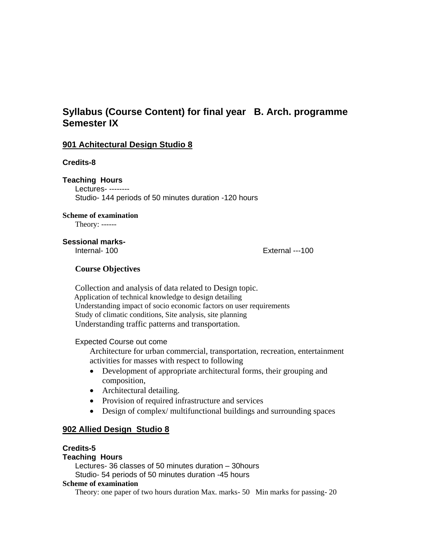## **Syllabus (Course Content) for final year B. Arch. programme Semester IX**

#### **901 Achitectural Design Studio 8**

#### **Credits-8**

**Teaching Hours** Lectures- -------- Studio- 144 periods of 50 minutes duration -120 hours

#### **Scheme of examination**

Theory: ------

#### **Sessional marks-**

Internal- 100 External ---100

#### **Course Objectives**

Collection and analysis of data related to Design topic. Application of technical knowledge to design detailing Understanding impact of socio economic factors on user requirements Study of climatic conditions, Site analysis, site planning Understanding traffic patterns and transportation.

#### Expected Course out come

Architecture for urban commercial, transportation, recreation, entertainment activities for masses with respect to following

- Development of appropriate architectural forms, their grouping and composition,
- Architectural detailing.
- Provision of required infrastructure and services
- Design of complex/ multifunctional buildings and surrounding spaces

#### **902 Allied Design Studio 8**

#### **Credits-5**

#### **Teaching Hours**

Lectures- 36 classes of 50 minutes duration – 30hours Studio- 54 periods of 50 minutes duration -45 hours

#### **Scheme of examination**

Theory: one paper of two hours duration Max. marks- 50 Min marks for passing- 20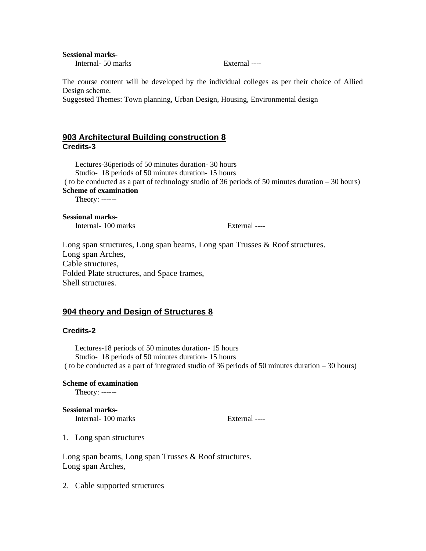**Sessional marks-**

Internal- 50 marks External ----

The course content will be developed by the individual colleges as per their choice of Allied Design scheme.

Suggested Themes: Town planning, Urban Design, Housing, Environmental design

#### **903 Architectural Building construction 8 Credits-3**

Lectures-36periods of 50 minutes duration- 30 hours Studio- 18 periods of 50 minutes duration- 15 hours ( to be conducted as a part of technology studio of 36 periods of 50 minutes duration – 30 hours) **Scheme of examination** Theory: ------ **Sessional marks-**

Internal- 100 marks External ----

Long span structures, Long span beams, Long span Trusses & Roof structures. Long span Arches, Cable structures, Folded Plate structures, and Space frames, Shell structures.

#### **904 theory and Design of Structures 8**

#### **Credits-2**

Lectures-18 periods of 50 minutes duration- 15 hours Studio- 18 periods of 50 minutes duration- 15 hours ( to be conducted as a part of integrated studio of 36 periods of 50 minutes duration – 30 hours)

#### **Scheme of examination**

Theory: ------

#### **Sessional marks-**

Internal- 100 marks External ----

1. Long span structures

Long span beams, Long span Trusses & Roof structures. Long span Arches,

2. Cable supported structures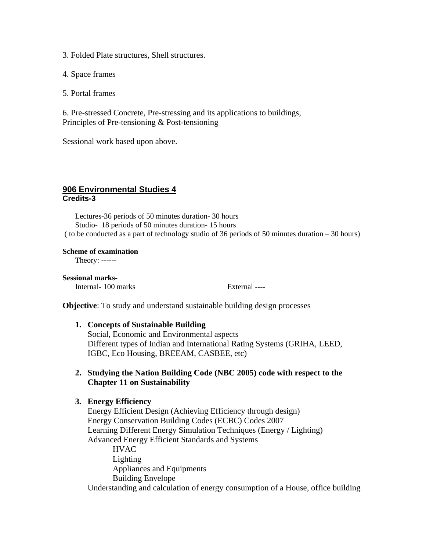3. Folded Plate structures, Shell structures.

4. Space frames

5. Portal frames

6. Pre-stressed Concrete, Pre-stressing and its applications to buildings, Principles of Pre-tensioning & Post-tensioning

Sessional work based upon above.

#### **906 Environmental Studies 4 Credits-3**

Lectures-36 periods of 50 minutes duration- 30 hours Studio- 18 periods of 50 minutes duration- 15 hours ( to be conducted as a part of technology studio of 36 periods of 50 minutes duration – 30 hours)

#### **Scheme of examination**

Theory: ------

**Sessional marks-**

Internal- 100 marks External ----

**Objective**: To study and understand sustainable building design processes

#### **1. Concepts of Sustainable Building**

Social, Economic and Environmental aspects Different types of Indian and International Rating Systems (GRIHA, LEED, IGBC, Eco Housing, BREEAM, CASBEE, etc)

#### **2. Studying the Nation Building Code (NBC 2005) code with respect to the Chapter 11 on Sustainability**

#### **3. Energy Efficiency**

Energy Efficient Design (Achieving Efficiency through design) Energy Conservation Building Codes (ECBC) Codes 2007 Learning Different Energy Simulation Techniques (Energy / Lighting) Advanced Energy Efficient Standards and Systems

**HVAC** Lighting Appliances and Equipments Building Envelope Understanding and calculation of energy consumption of a House, office building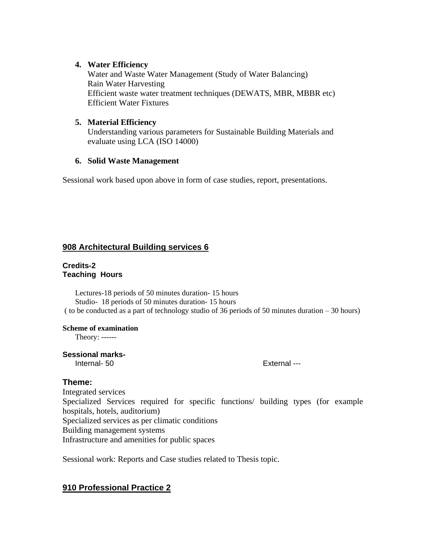#### **4. Water Efficiency**

Water and Waste Water Management (Study of Water Balancing) Rain Water Harvesting Efficient waste water treatment techniques (DEWATS, MBR, MBBR etc) Efficient Water Fixtures

#### **5. Material Efficiency**

Understanding various parameters for Sustainable Building Materials and evaluate using LCA (ISO 14000)

#### **6. Solid Waste Management**

Sessional work based upon above in form of case studies, report, presentations.

## **908 Architectural Building services 6**

#### **Credits-2 Teaching Hours**

Lectures-18 periods of 50 minutes duration- 15 hours Studio- 18 periods of 50 minutes duration- 15 hours ( to be conducted as a part of technology studio of 36 periods of 50 minutes duration – 30 hours)

#### **Scheme of examination**

Theory: ------

## **Sessional marks-**

Internal-50 External ---

#### **Theme:**

Integrated services Specialized Services required for specific functions/ building types (for example hospitals, hotels, auditorium) Specialized services as per climatic conditions Building management systems Infrastructure and amenities for public spaces

Sessional work: Reports and Case studies related to Thesis topic.

## **910 Professional Practice 2**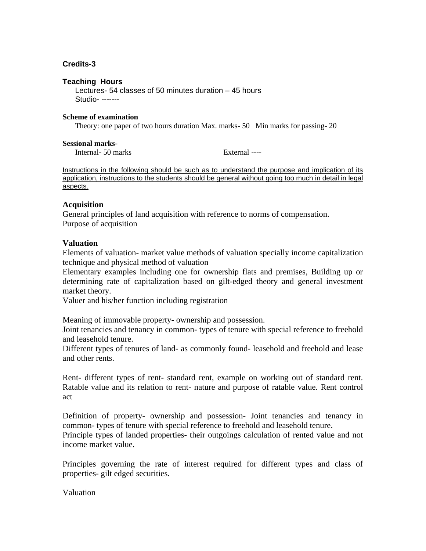#### **Credits-3**

#### **Teaching Hours**

Lectures- 54 classes of 50 minutes duration – 45 hours Studio- -------

#### **Scheme of examination**

Theory: one paper of two hours duration Max. marks- 50 Min marks for passing- 20

#### **Sessional marks-**

Internal- 50 marks External ----

Instructions in the following should be such as to understand the purpose and implication of its application, instructions to the students should be general without going too much in detail in legal aspects.

#### **Acquisition**

General principles of land acquisition with reference to norms of compensation. Purpose of acquisition

#### **Valuation**

Elements of valuation- market value methods of valuation specially income capitalization technique and physical method of valuation

Elementary examples including one for ownership flats and premises, Building up or determining rate of capitalization based on gilt-edged theory and general investment market theory.

Valuer and his/her function including registration

Meaning of immovable property- ownership and possession.

Joint tenancies and tenancy in common- types of tenure with special reference to freehold and leasehold tenure.

Different types of tenures of land- as commonly found- leasehold and freehold and lease and other rents.

Rent- different types of rent- standard rent, example on working out of standard rent. Ratable value and its relation to rent- nature and purpose of ratable value. Rent control act

Definition of property- ownership and possession- Joint tenancies and tenancy in common- types of tenure with special reference to freehold and leasehold tenure.

Principle types of landed properties- their outgoings calculation of rented value and not income market value.

Principles governing the rate of interest required for different types and class of properties- gilt edged securities.

Valuation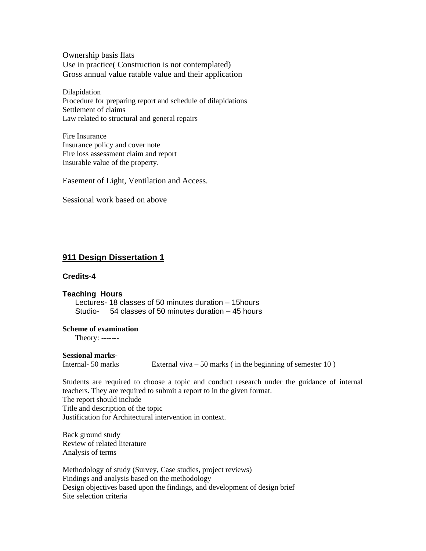Ownership basis flats Use in practice( Construction is not contemplated) Gross annual value ratable value and their application

Dilapidation Procedure for preparing report and schedule of dilapidations Settlement of claims Law related to structural and general repairs

Fire Insurance Insurance policy and cover note Fire loss assessment claim and report Insurable value of the property.

Easement of Light, Ventilation and Access.

Sessional work based on above

#### **911 Design Dissertation 1**

#### **Credits-4**

#### **Teaching Hours**

Lectures- 18 classes of 50 minutes duration – 15hours Studio- 54 classes of 50 minutes duration – 45 hours

## **Scheme of examination**

Theory: -------

#### **Sessional marks-**

Internal- 50 marks External viva  $-$  50 marks (in the beginning of semester 10)

Students are required to choose a topic and conduct research under the guidance of internal teachers. They are required to submit a report to in the given format. The report should include Title and description of the topic Justification for Architectural intervention in context.

Back ground study Review of related literature Analysis of terms

Methodology of study (Survey, Case studies, project reviews) Findings and analysis based on the methodology Design objectives based upon the findings, and development of design brief Site selection criteria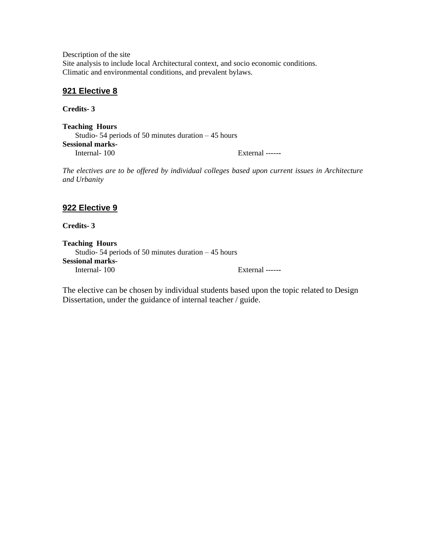Description of the site Site analysis to include local Architectural context, and socio economic conditions. Climatic and environmental conditions, and prevalent bylaws.

#### **921 Elective 8**

**Credits- 3**

**Teaching Hours** Studio- 54 periods of 50 minutes duration – 45 hours **Sessional marks-**Internal- 100 External -----**-**

*The electives are to be offered by individual colleges based upon current issues in Architecture and Urbanity*

## **922 Elective 9**

**Credits- 3**

**Teaching Hours** Studio- 54 periods of 50 minutes duration – 45 hours **Sessional marks-**<br>Internal- 100 External -----

The elective can be chosen by individual students based upon the topic related to Design Dissertation, under the guidance of internal teacher / guide.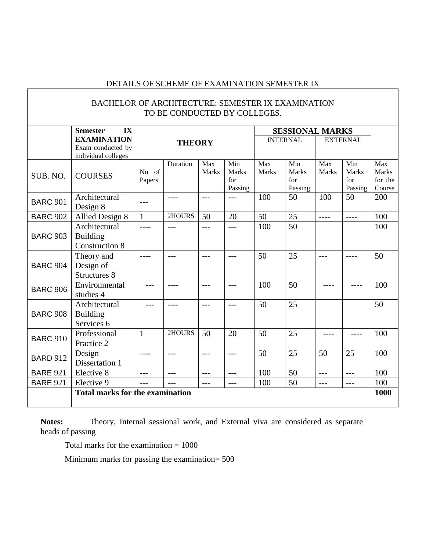## DETAILS OF SCHEME OF EXAMINATION SEMESTER IX

|                 | <b>BACHELOR OF ARCHITECTURE: SEMESTER IX EXAMINATION</b>       |                 |                              |                     |                                       |                        |                                |              |                                |                                          |
|-----------------|----------------------------------------------------------------|-----------------|------------------------------|---------------------|---------------------------------------|------------------------|--------------------------------|--------------|--------------------------------|------------------------------------------|
|                 |                                                                |                 | TO BE CONDUCTED BY COLLEGES. |                     |                                       |                        |                                |              |                                |                                          |
|                 | <b>Semester</b><br>IX                                          |                 |                              |                     |                                       | <b>SESSIONAL MARKS</b> |                                |              |                                |                                          |
|                 | <b>EXAMINATION</b><br>Exam conducted by<br>individual colleges |                 | <b>THEORY</b>                |                     |                                       | <b>INTERNAL</b>        | <b>EXTERNAL</b>                |              |                                |                                          |
| SUB. NO.        | <b>COURSES</b>                                                 | No of<br>Papers | Duration                     | Max<br><b>Marks</b> | Min<br><b>Marks</b><br>for<br>Passing | Max<br>Marks           | Min<br>Marks<br>for<br>Passing | Max<br>Marks | Min<br>Marks<br>for<br>Passing | Max<br><b>Marks</b><br>for the<br>Course |
| <b>BARC 901</b> | Architectural<br>Design 8                                      | $---$           | $\frac{1}{2}$                | $---$               | $---$                                 | 100                    | 50                             | 100          | 50                             | 200                                      |
| <b>BARC 902</b> | Allied Design 8                                                | $\mathbf{1}$    | 2HOURS                       | 50                  | 20                                    | 50                     | 25                             | $---$        | $\frac{1}{2}$                  | 100                                      |
| <b>BARC 903</b> | Architectural<br><b>Building</b><br><b>Construction 8</b>      | ----            | $---$                        | $\frac{1}{2}$       | $---$                                 | 100                    | 50                             |              |                                | 100                                      |
| <b>BARC 904</b> | Theory and<br>Design of<br><b>Structures 8</b>                 | ----            |                              | $---$               | $---$                                 | 50                     | 25                             | $---$        | ----                           | 50                                       |
| <b>BARC 906</b> | Environmental<br>studies 4                                     | ---             | $---$                        | $---$               | $\frac{1}{2}$                         | 100                    | 50                             | ----         | ----                           | 100                                      |
| <b>BARC 908</b> | Architectural<br><b>Building</b><br>Services 6                 |                 | $\frac{1}{2}$                | $---$               | $---$                                 | 50                     | 25                             |              |                                | 50                                       |
| <b>BARC 910</b> | Professional<br>Practice 2                                     | $\mathbf{1}$    | 2HOURS                       | 50                  | 20                                    | 50                     | 25                             |              |                                | 100                                      |
| <b>BARD 912</b> | Design<br>Dissertation 1                                       |                 | $---$                        | $---$               | $---$                                 | 50                     | 25                             | 50           | 25                             | 100                                      |
| <b>BARE 921</b> | Elective 8                                                     | $---$           | $---$                        | $---$               | $---$                                 | 100                    | 50                             | $---$        | $---$                          | 100                                      |
| <b>BARE 921</b> | Elective 9                                                     | $---$           |                              | $---$               | $---$                                 | 100                    | 50                             | $---$        | $---$                          | 100                                      |
|                 | <b>Total marks for the examination</b>                         |                 |                              |                     |                                       |                        |                                |              |                                | 1000                                     |
|                 |                                                                |                 |                              |                     |                                       |                        |                                |              |                                |                                          |

**Notes:** Theory, Internal sessional work, and External viva are considered as separate heads of passing

Total marks for the examination = 1000

Minimum marks for passing the examination= 500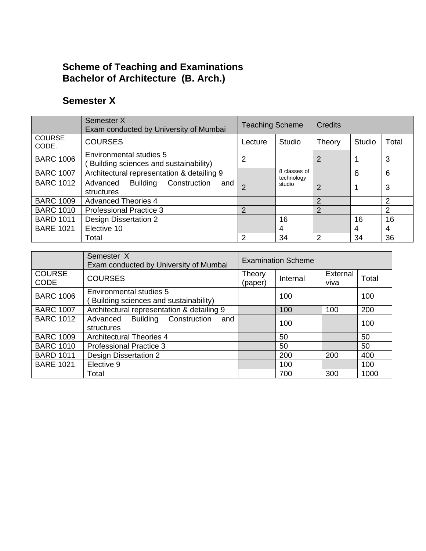## **Scheme of Teaching and Examinations Bachelor of Architecture (B. Arch.)**

## **Semester X**

|                        | Semester X<br>Exam conducted by University of Mumbai             | <b>Teaching Scheme</b> |                            | Credits |        |       |  |
|------------------------|------------------------------------------------------------------|------------------------|----------------------------|---------|--------|-------|--|
| <b>COURSE</b><br>CODE. | <b>COURSES</b>                                                   | Lecture                | Studio                     | Theory  | Studio | Total |  |
| <b>BARC 1006</b>       | Environmental studies 5<br>Building sciences and sustainability) | 2                      |                            | 2       |        | 3     |  |
| <b>BARC 1007</b>       | Architectural representation & detailing 9                       |                        | 8 classes of<br>technology |         | 6      | 6     |  |
| <b>BARC 1012</b>       | Construction<br>Advanced<br>Building<br>and<br>structures        | $\mathcal{P}$          | studio                     | 2       |        | 3     |  |
| <b>BARC 1009</b>       | <b>Advanced Theories 4</b>                                       |                        |                            | 2       |        | 2     |  |
| <b>BARC 1010</b>       | <b>Professional Practice 3</b>                                   | $\overline{2}$         |                            | 2       |        | 2     |  |
| <b>BARD 1011</b>       | <b>Design Dissertation 2</b>                                     |                        | 16                         |         | 16     | 16    |  |
| <b>BARE 1021</b>       | Elective 10                                                      |                        | 4                          |         | 4      | 4     |  |
|                        | Total                                                            | 2                      | 34                         | 2       | 34     | 36    |  |

|                              | Semester <sub>X</sub><br>Exam conducted by University of Mumbai  | <b>Examination Scheme</b> |          |                  |       |
|------------------------------|------------------------------------------------------------------|---------------------------|----------|------------------|-------|
| <b>COURSE</b><br><b>CODE</b> | <b>COURSES</b>                                                   | Theory<br>(paper)         | Internal | External<br>viva | Total |
| <b>BARC 1006</b>             | Environmental studies 5<br>Building sciences and sustainability) |                           | 100      |                  | 100   |
| <b>BARC 1007</b>             | Architectural representation & detailing 9                       |                           | 100      | 100              | 200   |
| <b>BARC 1012</b>             | <b>Building Construction</b><br>Advanced<br>and<br>structures    |                           | 100      |                  | 100   |
| <b>BARC 1009</b>             | <b>Architectural Theories 4</b>                                  |                           | 50       |                  | 50    |
| <b>BARC 1010</b>             | <b>Professional Practice 3</b>                                   |                           | 50       |                  | 50    |
| <b>BARD 1011</b>             | Design Dissertation 2                                            |                           | 200      | 200              | 400   |
| <b>BARE 1021</b>             | Elective 9                                                       |                           | 100      |                  | 100   |
|                              | Total                                                            |                           | 700      | 300              | 1000  |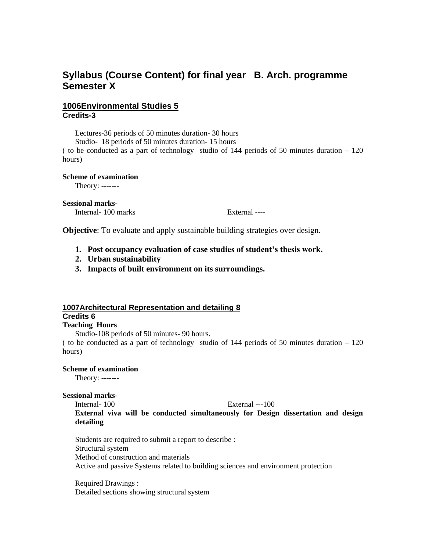## **Syllabus (Course Content) for final year B. Arch. programme Semester X**

#### **1006Environmental Studies 5 Credits-3**

Lectures-36 periods of 50 minutes duration- 30 hours

Studio- 18 periods of 50 minutes duration- 15 hours

( to be conducted as a part of technology studio of 144 periods of 50 minutes duration – 120 hours)

#### **Scheme of examination**

Theory: -------

#### **Sessional marks-**

Internal- 100 marks External ----

**Objective**: To evaluate and apply sustainable building strategies over design.

- **1. Post occupancy evaluation of case studies of student's thesis work.**
- **2. Urban sustainability**
- **3. Impacts of built environment on its surroundings.**

#### **1007Architectural Representation and detailing 8**

## **Credits 6**

#### **Teaching Hours**

Studio-108 periods of 50 minutes- 90 hours.

( to be conducted as a part of technology studio of  $144$  periods of 50 minutes duration  $-120$ hours)

#### **Scheme of examination**

Theory: -------

#### **Sessional marks-**

Internal- 100 External ---100

**External viva will be conducted simultaneously for Design dissertation and design detailing** 

Students are required to submit a report to describe : Structural system Method of construction and materials Active and passive Systems related to building sciences and environment protection

Required Drawings : Detailed sections showing structural system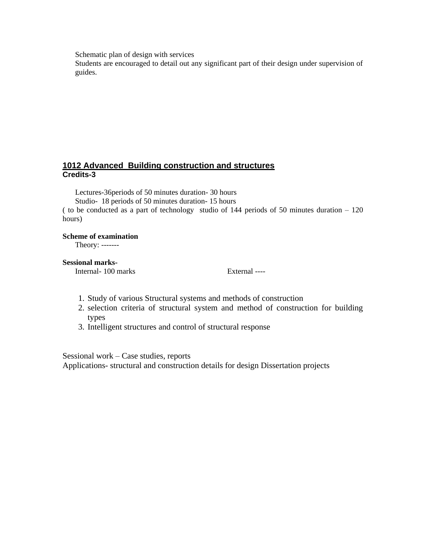Schematic plan of design with services

Students are encouraged to detail out any significant part of their design under supervision of guides.

#### **1012 Advanced Building construction and structures Credits-3**

Lectures-36periods of 50 minutes duration- 30 hours

Studio- 18 periods of 50 minutes duration- 15 hours

( to be conducted as a part of technology studio of 144 periods of 50 minutes duration – 120 hours)

#### **Scheme of examination**

Theory: -------

#### **Sessional marks-**

Internal- 100 marks External ----

- 1. Study of various Structural systems and methods of construction
- 2. selection criteria of structural system and method of construction for building types
- 3. Intelligent structures and control of structural response

Sessional work – Case studies, reports

Applications- structural and construction details for design Dissertation projects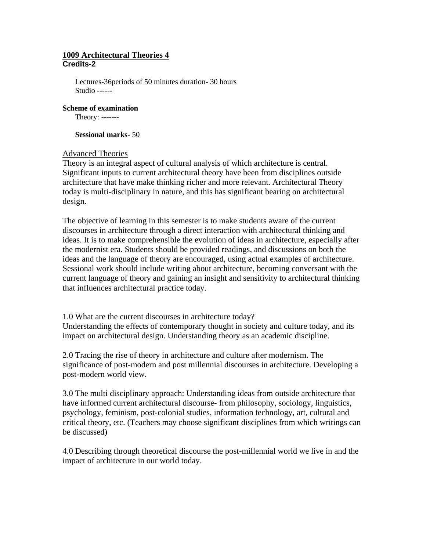#### **1009 Architectural Theories 4 Credits-2**

Lectures-36periods of 50 minutes duration- 30 hours Studio ------

**Scheme of examination**

Theory: -------

**Sessional marks-** 50

#### Advanced Theories

Theory is an integral aspect of cultural analysis of which architecture is central. Significant inputs to current architectural theory have been from disciplines outside architecture that have make thinking richer and more relevant. Architectural Theory today is multi-disciplinary in nature, and this has significant bearing on architectural design.

The objective of learning in this semester is to make students aware of the current discourses in architecture through a direct interaction with architectural thinking and ideas. It is to make comprehensible the evolution of ideas in architecture, especially after the modernist era. Students should be provided readings, and discussions on both the ideas and the language of theory are encouraged, using actual examples of architecture. Sessional work should include writing about architecture, becoming conversant with the current language of theory and gaining an insight and sensitivity to architectural thinking that influences architectural practice today.

1.0 What are the current discourses in architecture today?

Understanding the effects of contemporary thought in society and culture today, and its impact on architectural design. Understanding theory as an academic discipline.

2.0 Tracing the rise of theory in architecture and culture after modernism. The significance of post-modern and post millennial discourses in architecture. Developing a post-modern world view.

3.0 The multi disciplinary approach: Understanding ideas from outside architecture that have informed current architectural discourse- from philosophy, sociology, linguistics, psychology, feminism, post-colonial studies, information technology, art, cultural and critical theory, etc. (Teachers may choose significant disciplines from which writings can be discussed)

4.0 Describing through theoretical discourse the post-millennial world we live in and the impact of architecture in our world today.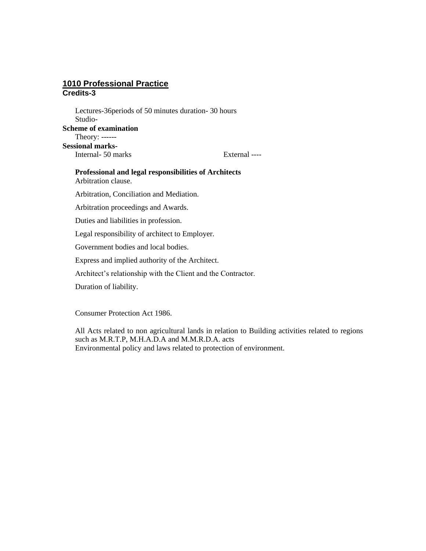#### **1010 Professional Practice Credits-3**

Lectures-36periods of 50 minutes duration- 30 hours Studio-**Scheme of examination** Theory: ------ **Sessional marks-**Internal- 50 marks External ----

## **Professional and legal responsibilities of Architects** Arbitration clause. Arbitration, Conciliation and Mediation. Arbitration proceedings and Awards. Duties and liabilities in profession. Legal responsibility of architect to Employer. Government bodies and local bodies. Express and implied authority of the Architect. Architect's relationship with the Client and the Contractor.

Duration of liability.

Consumer Protection Act 1986.

All Acts related to non agricultural lands in relation to Building activities related to regions such as M.R.T.P, M.H.A.D.A and M.M.R.D.A. acts Environmental policy and laws related to protection of environment.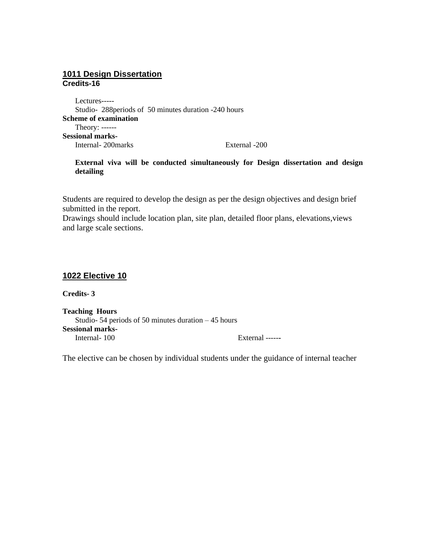#### **1011 Design Dissertation Credits-16**

Lectures----- Studio- 288periods of 50 minutes duration -240 hours **Scheme of examination** Theory: ------ **Sessional marks-**Internal- 200marks External -200

#### **External viva will be conducted simultaneously for Design dissertation and design detailing**

Students are required to develop the design as per the design objectives and design brief submitted in the report.

Drawings should include location plan, site plan, detailed floor plans, elevations,views and large scale sections.

#### **1022 Elective 10**

**Credits- 3**

**Teaching Hours** Studio- 54 periods of 50 minutes duration – 45 hours **Sessional marks-**<br>Internal-100 External ------

The elective can be chosen by individual students under the guidance of internal teacher